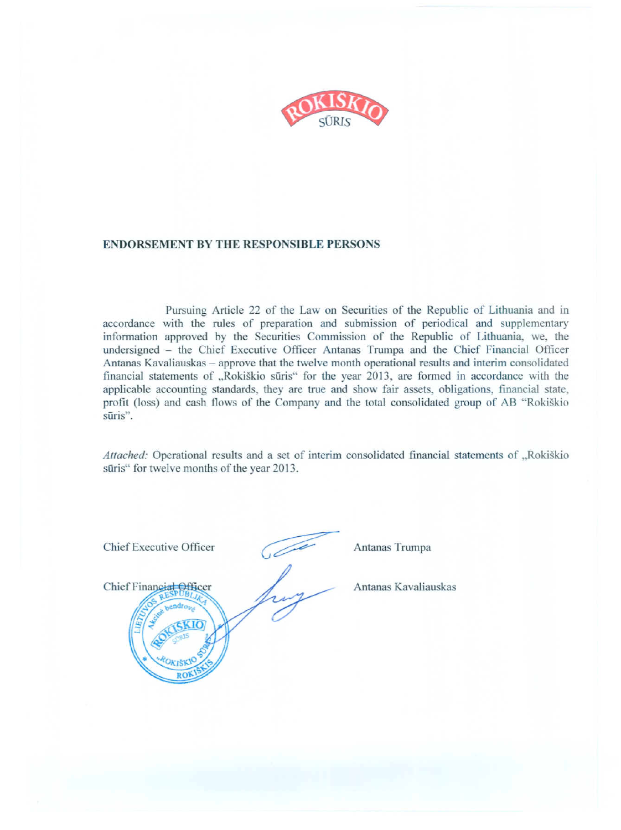

#### **ENDORSEMENT BY THE RESPONSIBLE PERSONS**

Pursuing Article 22 of the Law on Securities of the Republic of Lithuania and in accordance with the rules of preparation and submission of periodical and supplementary information approved by the Securities Commission of the Republic of Lithuania, we, the undersigned - the Chief Executive Officer Antanas Trumpa and the Chief Financial Officer Antanas Kavaliauskas – approve that the twelve month operational results and interim consolidated financial statements of "Rokiškio sūris" for the year 2013, are formed in accordance with the applicable accounting standards, they are true and show fair assets, obligations, financial state, profit (loss) and cash flows of the Company and the total consolidated group of AB "Rokiškio" sūris".

Attached: Operational results and a set of interim consolidated financial statements of "Rokiškio sūris" for twelve months of the year 2013.



Antanas Trumpa

Antanas Kavaliauskas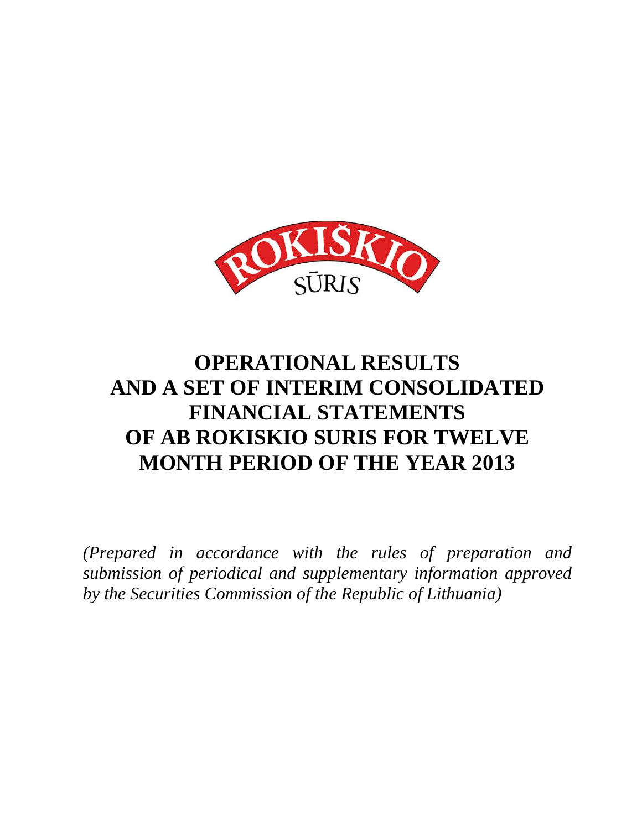

# **OPERATIONAL RESULTS AND A SET OF INTERIM CONSOLIDATED FINANCIAL STATEMENTS OF AB ROKISKIO SURIS FOR TWELVE MONTH PERIOD OF THE YEAR 2013**

*(Prepared in accordance with the rules of preparation and submission of periodical and supplementary information approved by the Securities Commission of the Republic of Lithuania)*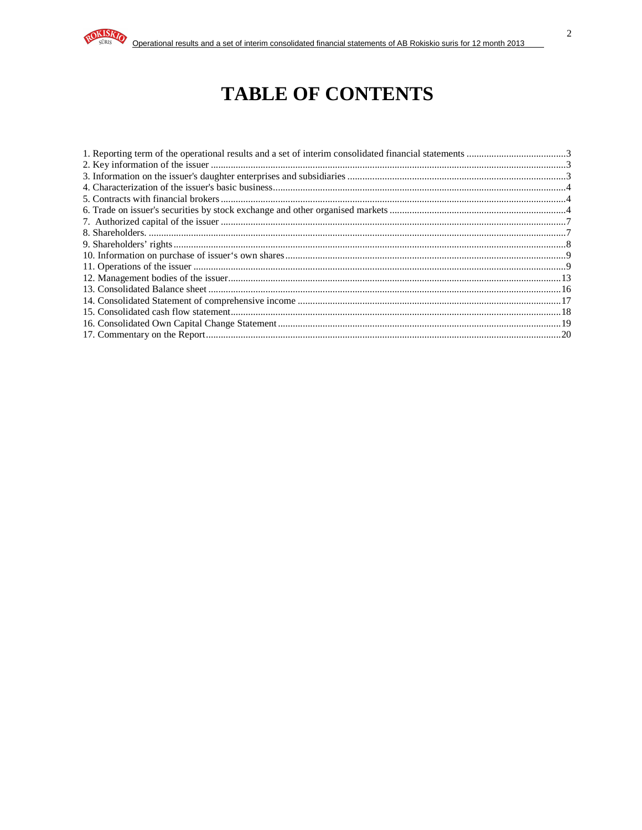

# **TABLE OF CONTENTS**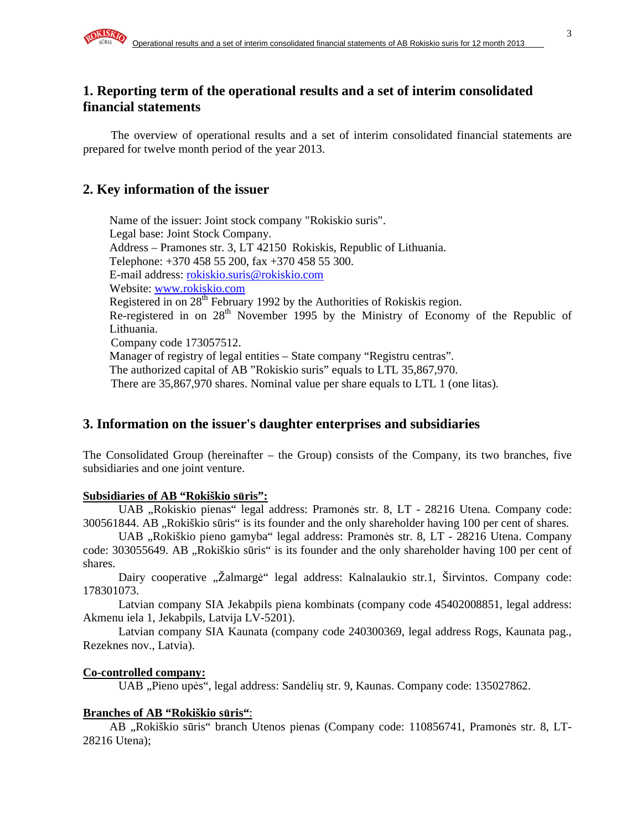# **1. Reporting term of the operational results and a set of interim consolidated financial statements**

The overview of operational results and a set of interim consolidated financial statements are prepared for twelve month period of the year 2013.

# **2. Key information of the issuer**

Name of the issuer: Joint stock company "Rokiskio suris". Legal base: Joint Stock Company. Address – Pramones str. 3, LT 42150 Rokiskis, Republic of Lithuania. Telephone: +370 458 55 200, fax +370 458 55 300. E-mail address: rokiskio.suris@rokiskio.com Website: www.rokiskio.com Registered in on  $28^{th}$  February 1992 by the Authorities of Rokiskis region. Re-registered in on 28<sup>th</sup> November 1995 by the Ministry of Economy of the Republic of Lithuania. Company code 173057512. Manager of registry of legal entities – State company "Registru centras". The authorized capital of AB "Rokiskio suris" equals to LTL 35,867,970. There are 35,867,970 shares. Nominal value per share equals to LTL 1 (one litas).

# **3. Information on the issuer's daughter enterprises and subsidiaries**

The Consolidated Group (hereinafter – the Group) consists of the Company, its two branches, five subsidiaries and one joint venture.

## **Subsidiaries of AB "Rokiškio s**ū**ris":**

UAB "Rokiskio pienas" legal address: Pramonės str. 8, LT - 28216 Utena. Company code: 300561844. AB "Rokiškio sūris" is its founder and the only shareholder having 100 per cent of shares.

UAB "Rokiškio pieno gamyba" legal address: Pramonės str. 8, LT - 28216 Utena. Company code: 303055649. AB "Rokiškio sūris" is its founder and the only shareholder having 100 per cent of shares.

Dairy cooperative "Žalmargė" legal address: Kalnalaukio str.1, Širvintos. Company code: 178301073.

Latvian company SIA Jekabpils piena kombinats (company code 45402008851, legal address: Akmenu iela 1, Jekabpils, Latvija LV-5201).

Latvian company SIA Kaunata (company code 240300369, legal address Rogs, Kaunata pag., Rezeknes nov., Latvia).

## **Co-controlled company:**

UAB "Pieno upės", legal address: Sandėlių str. 9, Kaunas. Company code: 135027862.

## **Branches of AB "Rokiškio s**ū**ris"**:

AB "Rokiškio sūris" branch Utenos pienas (Company code: 110856741, Pramonės str. 8, LT-28216 Utena);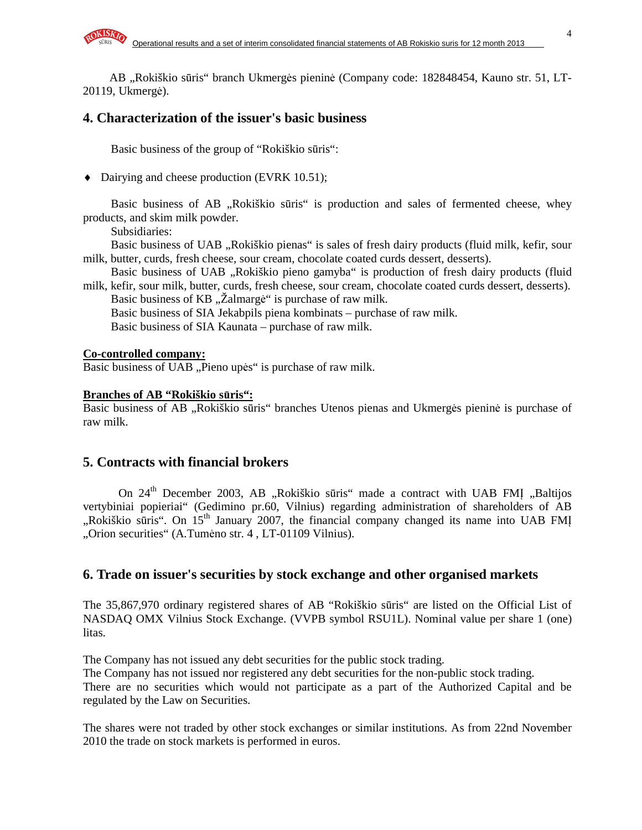AB "Rokiškio sūris" branch Ukmergės pieninė (Company code: 182848454, Kauno str. 51, LT-20119, Ukmergė).

## **4. Characterization of the issuer's basic business**

Basic business of the group of "Rokiškio sūris":

♦ Dairying and cheese production (EVRK 10.51);

Basic business of AB "Rokiškio sūris" is production and sales of fermented cheese, whey products, and skim milk powder.

Subsidiaries:

Basic business of UAB "Rokiškio pienas" is sales of fresh dairy products (fluid milk, kefir, sour milk, butter, curds, fresh cheese, sour cream, chocolate coated curds dessert, desserts).

Basic business of UAB "Rokiškio pieno gamyba" is production of fresh dairy products (fluid milk, kefir, sour milk, butter, curds, fresh cheese, sour cream, chocolate coated curds dessert, desserts).

Basic business of KB "Žalmargė" is purchase of raw milk.

Basic business of SIA Jekabpils piena kombinats – purchase of raw milk.

Basic business of SIA Kaunata – purchase of raw milk.

#### **Co-controlled company:**

Basic business of UAB "Pieno upės" is purchase of raw milk.

#### **Branches of AB "Rokiškio s**ū**ris":**

Basic business of AB "Rokiškio sūris" branches Utenos pienas and Ukmergės pieninė is purchase of raw milk.

### **5. Contracts with financial brokers**

On 24<sup>th</sup> December 2003, AB "Rokiškio sūris" made a contract with UAB FMI "Baltijos vertybiniai popieriai" (Gedimino pr.60, Vilnius) regarding administration of shareholders of AB "Rokiškio sūris". On 15<sup>th</sup> January 2007, the financial company changed its name into UAB FMI "Orion securities" (A.Tumėno str. 4 , LT-01109 Vilnius).

### **6. Trade on issuer's securities by stock exchange and other organised markets**

The 35,867,970 ordinary registered shares of AB "Rokiškio sūris" are listed on the Official List of NASDAQ OMX Vilnius Stock Exchange. (VVPB symbol RSU1L). Nominal value per share 1 (one) litas.

The Company has not issued any debt securities for the public stock trading.

The Company has not issued nor registered any debt securities for the non-public stock trading. There are no securities which would not participate as a part of the Authorized Capital and be regulated by the Law on Securities.

The shares were not traded by other stock exchanges or similar institutions. As from 22nd November 2010 the trade on stock markets is performed in euros.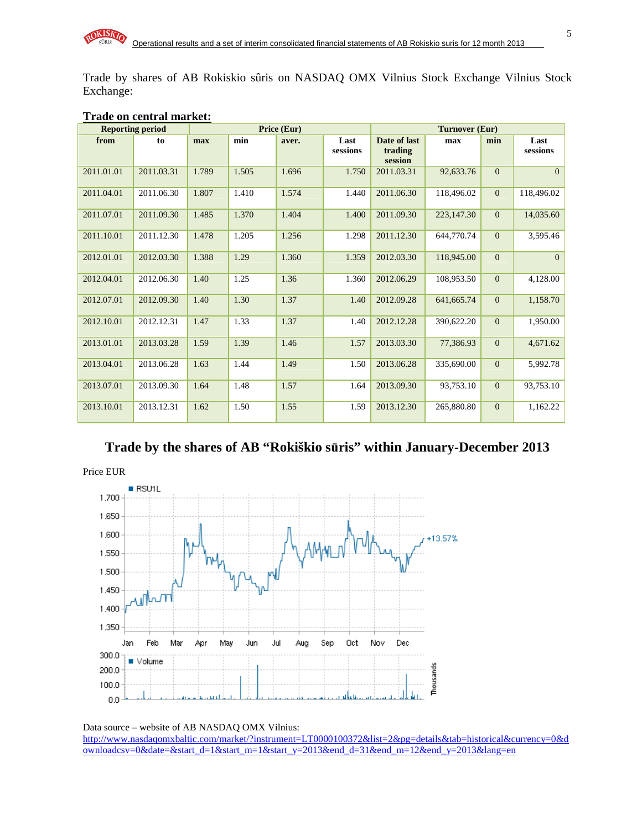Trade by shares of AB Rokiskio sûris on NASDAQ OMX Vilnius Stock Exchange Vilnius Stock Exchange:

|            | <b>Reporting period</b> |       | Price (Eur) |       |                  |                                    |              | Turnover (Eur) |                  |  |
|------------|-------------------------|-------|-------------|-------|------------------|------------------------------------|--------------|----------------|------------------|--|
| from       | to                      | max   | min         | aver. | Last<br>sessions | Date of last<br>trading<br>session | max          | min            | Last<br>sessions |  |
| 2011.01.01 | 2011.03.31              | 1.789 | 1.505       | 1.696 | 1.750            | 2011.03.31                         | 92,633.76    | $\overline{0}$ | $\Omega$         |  |
| 2011.04.01 | 2011.06.30              | 1.807 | 1.410       | 1.574 | 1.440            | 2011.06.30                         | 118,496.02   | $\overline{0}$ | 118,496.02       |  |
| 2011.07.01 | 2011.09.30              | 1.485 | 1.370       | 1.404 | 1.400            | 2011.09.30                         | 223,147.30   | $\overline{0}$ | 14,035.60        |  |
| 2011.10.01 | 2011.12.30              | 1.478 | 1.205       | 1.256 | 1.298            | 2011.12.30                         | 644,770.74   | $\overline{0}$ | 3,595.46         |  |
| 2012.01.01 | 2012.03.30              | 1.388 | 1.29        | 1.360 | 1.359            | 2012.03.30                         | 118,945.00   | $\overline{0}$ | $\Omega$         |  |
| 2012.04.01 | 2012.06.30              | 1.40  | 1.25        | 1.36  | 1.360            | 2012.06.29                         | 108.953.50   | $\overline{0}$ | 4,128.00         |  |
| 2012.07.01 | 2012.09.30              | 1.40  | 1.30        | 1.37  | 1.40             | 2012.09.28                         | 641, 665. 74 | $\overline{0}$ | 1,158.70         |  |
| 2012.10.01 | 2012.12.31              | 1.47  | 1.33        | 1.37  | 1.40             | 2012.12.28                         | 390,622.20   | $\overline{0}$ | 1,950.00         |  |
| 2013.01.01 | 2013.03.28              | 1.59  | 1.39        | 1.46  | 1.57             | 2013.03.30                         | 77,386.93    | $\mathbf{0}$   | 4,671.62         |  |
| 2013.04.01 | 2013.06.28              | 1.63  | 1.44        | 1.49  | 1.50             | 2013.06.28                         | 335,690.00   | $\overline{0}$ | 5,992.78         |  |
| 2013.07.01 | 2013.09.30              | 1.64  | 1.48        | 1.57  | 1.64             | 2013.09.30                         | 93.753.10    | $\overline{0}$ | 93,753.10        |  |
| 2013.10.01 | 2013.12.31              | 1.62  | 1.50        | 1.55  | 1.59             | 2013.12.30                         | 265,880.80   | $\mathbf{0}$   | 1,162.22         |  |

#### **Trade on central market:**

# **Trade by the shares of AB "Rokiškio s**ū**ris" within January-December 2013**



Data source – website of AB NASDAQ OMX Vilnius: http://www.nasdaqomxbaltic.com/market/?instrument=LT0000100372&list=2&pg=details&tab=historical&currency=0&d ownloadcsv=0&date=&start\_d=1&start\_m=1&start\_y=2013&end\_d=31&end\_m=12&end\_y=2013&lang=en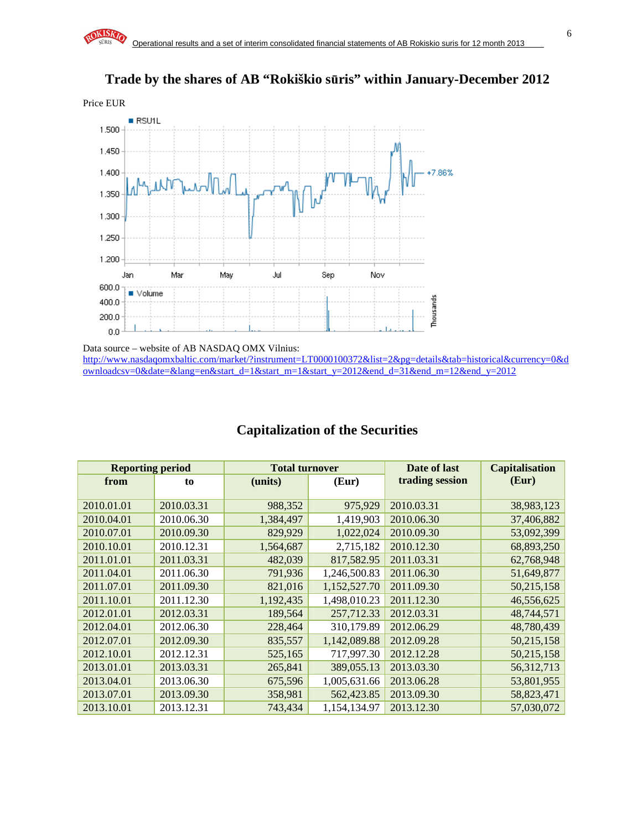# **Trade by the shares of AB "Rokiškio s**ū**ris" within January-December 2012**



Data source – website of AB NASDAQ OMX Vilnius: http://www.nasdaqomxbaltic.com/market/?instrument=LT0000100372&list=2&pg=details&tab=historical&currency=0&d ownloadcsv=0&date=&lang=en&start\_d=1&start\_m=1&start\_y=2012&end\_d=31&end\_m=12&end\_y=2012

| <b>Reporting period</b> |            | <b>Total turnover</b> |              | Date of last    | <b>Capitalisation</b> |
|-------------------------|------------|-----------------------|--------------|-----------------|-----------------------|
| from                    | to         | (units)               | (Eur)        | trading session | (Eur)                 |
|                         |            |                       |              |                 |                       |
| 2010.01.01              | 2010.03.31 | 988,352               | 975,929      | 2010.03.31      | 38,983,123            |
| 2010.04.01              | 2010.06.30 | 1,384,497             | 1,419,903    | 2010.06.30      | 37,406,882            |
| 2010.07.01              | 2010.09.30 | 829,929               | 1,022,024    | 2010.09.30      | 53,092,399            |
| 2010.10.01              | 2010.12.31 | 1,564,687             | 2,715,182    | 2010.12.30      | 68,893,250            |
| 2011.01.01              | 2011.03.31 | 482,039               | 817,582.95   | 2011.03.31      | 62,768,948            |
| 2011.04.01              | 2011.06.30 | 791,936               | 1,246,500.83 | 2011.06.30      | 51,649,877            |
| 2011.07.01              | 2011.09.30 | 821,016               | 1,152,527.70 | 2011.09.30      | 50,215,158            |
| 2011.10.01              | 2011.12.30 | 1,192,435             | 1,498,010.23 | 2011.12.30      | 46,556,625            |
| 2012.01.01              | 2012.03.31 | 189,564               | 257,712.33   | 2012.03.31      | 48,744,571            |
| 2012.04.01              | 2012.06.30 | 228,464               | 310,179.89   | 2012.06.29      | 48,780,439            |
| 2012.07.01              | 2012.09.30 | 835,557               | 1,142,089.88 | 2012.09.28      | 50,215,158            |
| 2012.10.01              | 2012.12.31 | 525,165               | 717,997.30   | 2012.12.28      | 50,215,158            |
| 2013.01.01              | 2013.03.31 | 265,841               | 389,055.13   | 2013.03.30      | 56,312,713            |
| 2013.04.01              | 2013.06.30 | 675,596               | 1,005,631.66 | 2013.06.28      | 53,801,955            |
| 2013.07.01              | 2013.09.30 | 358,981               | 562,423.85   | 2013.09.30      | 58,823,471            |
| 2013.10.01              | 2013.12.31 | 743,434               | 1,154,134.97 | 2013.12.30      | 57,030,072            |

# **Capitalization of the Securities**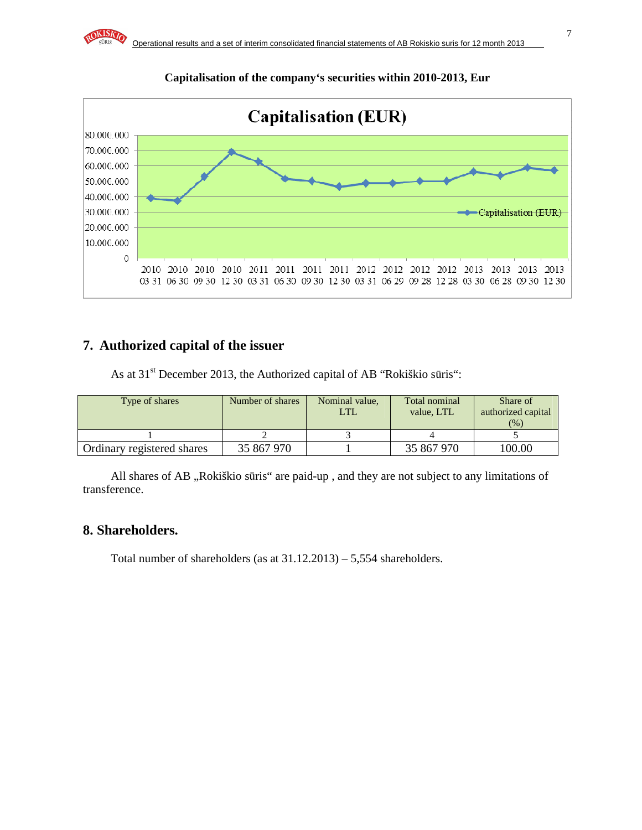

### **Capitalisation of the company's securities within 2010-2013, Eur**

## **7. Authorized capital of the issuer**

As at 31<sup>st</sup> December 2013, the Authorized capital of AB "Rokiškio sūris":

| Type of shares             | Number of shares | Nominal value,<br>LTL | Total nominal<br>value. LTL | Share of<br>authorized capital<br>(%) |
|----------------------------|------------------|-----------------------|-----------------------------|---------------------------------------|
|                            |                  |                       |                             |                                       |
| Ordinary registered shares | 35 867 970       |                       | 35 867 970                  | 100.00                                |

All shares of AB "Rokiškio sūris" are paid-up, and they are not subject to any limitations of transference.

### **8. Shareholders.**

Total number of shareholders (as at 31.12.2013) – 5,554 shareholders.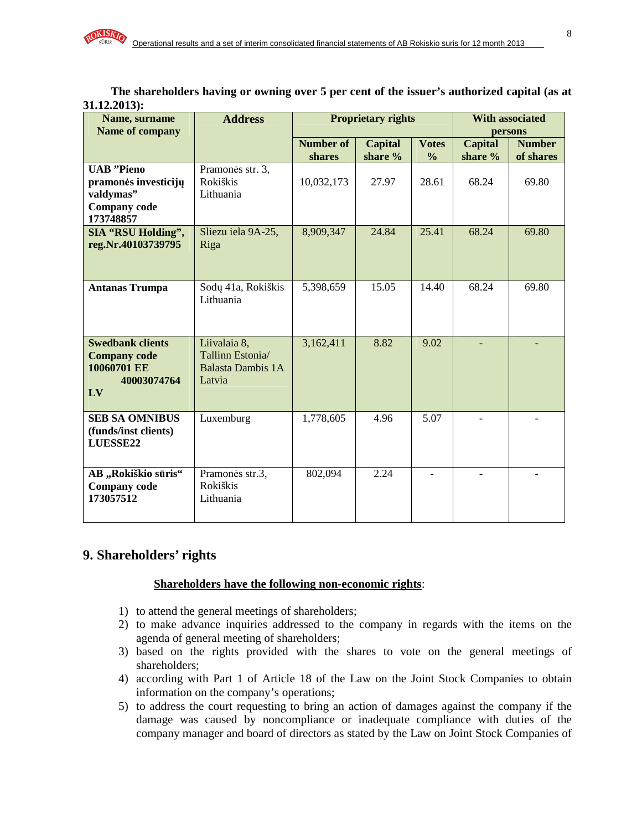**The shareholders having or owning over 5 per cent of the issuer's authorized capital (as at 31.12.2013):** 

| Name, surname                    | <b>Address</b>                     |                  | <b>Proprietary rights</b> |               | <b>With associated</b> |               |
|----------------------------------|------------------------------------|------------------|---------------------------|---------------|------------------------|---------------|
| <b>Name of company</b>           |                                    |                  |                           |               |                        | persons       |
|                                  |                                    | <b>Number of</b> | <b>Capital</b>            | <b>Votes</b>  | <b>Capital</b>         | <b>Number</b> |
|                                  |                                    | shares           | share %                   | $\frac{6}{9}$ | share %                | of shares     |
| <b>UAB</b> "Pieno                | Pramonės str. 3,                   |                  |                           |               |                        |               |
| pramonės investicijų             | Rokiškis                           | 10,032,173       | 27.97                     | 28.61         | 68.24                  | 69.80         |
| valdymas"<br><b>Company</b> code | Lithuania                          |                  |                           |               |                        |               |
| 173748857                        |                                    |                  |                           |               |                        |               |
| <b>SIA "RSU Holding",</b>        | Sliezu iela 9A-25,                 | 8,909,347        | 24.84                     | 25.41         | 68.24                  | 69.80         |
| reg.Nr.40103739795               | Riga                               |                  |                           |               |                        |               |
|                                  |                                    |                  |                           |               |                        |               |
| <b>Antanas Trumpa</b>            | Sodų 41a, Rokiškis                 | 5,398,659        | 15.05                     | 14.40         | 68.24                  | 69.80         |
|                                  | Lithuania                          |                  |                           |               |                        |               |
|                                  |                                    |                  |                           |               |                        |               |
|                                  |                                    |                  |                           |               |                        |               |
| <b>Swedbank clients</b>          | Liivalaia 8,                       | 3,162,411        | 8.82                      | 9.02          |                        |               |
| <b>Company code</b>              | Tallinn Estonia/                   |                  |                           |               |                        |               |
| 10060701 EE<br>40003074764       | <b>Balasta Dambis 1A</b><br>Latvia |                  |                           |               |                        |               |
| LV                               |                                    |                  |                           |               |                        |               |
|                                  |                                    |                  |                           |               |                        |               |
| <b>SEB SA OMNIBUS</b>            | Luxemburg                          | 1,778,605        | 4.96                      | 5.07          |                        |               |
| (funds/inst clients)             |                                    |                  |                           |               |                        |               |
| LUESSE22                         |                                    |                  |                           |               |                        |               |
|                                  |                                    |                  |                           |               |                        |               |
| AB "Rokiškio sūris"              | Pramonės str.3,                    | 802,094          | 2.24                      |               |                        |               |
| <b>Company</b> code<br>173057512 | Rokiškis<br>Lithuania              |                  |                           |               |                        |               |
|                                  |                                    |                  |                           |               |                        |               |
|                                  |                                    |                  |                           |               |                        |               |

# **9. Shareholders' rights**

#### **Shareholders have the following non-economic rights**:

- 1) to attend the general meetings of shareholders;
- 2) to make advance inquiries addressed to the company in regards with the items on the agenda of general meeting of shareholders;
- 3) based on the rights provided with the shares to vote on the general meetings of shareholders;
- 4) according with Part 1 of Article 18 of the Law on the Joint Stock Companies to obtain information on the company's operations;
- 5) to address the court requesting to bring an action of damages against the company if the damage was caused by noncompliance or inadequate compliance with duties of the company manager and board of directors as stated by the Law on Joint Stock Companies of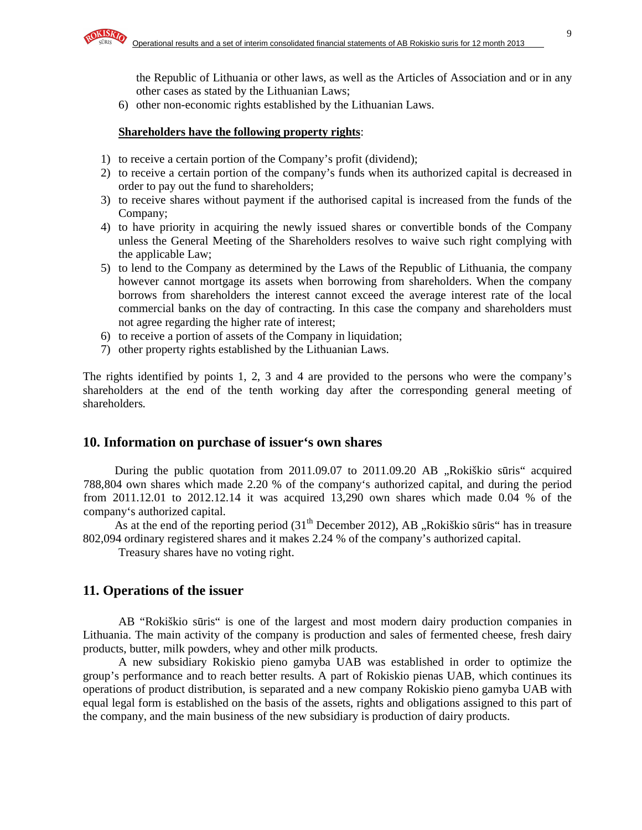the Republic of Lithuania or other laws, as well as the Articles of Association and or in any other cases as stated by the Lithuanian Laws;

6) other non-economic rights established by the Lithuanian Laws.

#### **Shareholders have the following property rights**:

- 1) to receive a certain portion of the Company's profit (dividend);
- 2) to receive a certain portion of the company's funds when its authorized capital is decreased in order to pay out the fund to shareholders;
- 3) to receive shares without payment if the authorised capital is increased from the funds of the Company;
- 4) to have priority in acquiring the newly issued shares or convertible bonds of the Company unless the General Meeting of the Shareholders resolves to waive such right complying with the applicable Law;
- 5) to lend to the Company as determined by the Laws of the Republic of Lithuania, the company however cannot mortgage its assets when borrowing from shareholders. When the company borrows from shareholders the interest cannot exceed the average interest rate of the local commercial banks on the day of contracting. In this case the company and shareholders must not agree regarding the higher rate of interest;
- 6) to receive a portion of assets of the Company in liquidation;
- 7) other property rights established by the Lithuanian Laws.

The rights identified by points 1, 2, 3 and 4 are provided to the persons who were the company's shareholders at the end of the tenth working day after the corresponding general meeting of shareholders.

### **10. Information on purchase of issuer's own shares**

During the public quotation from 2011.09.07 to 2011.09.20 AB "Rokiškio sūris" acquired 788,804 own shares which made 2.20 % of the company's authorized capital, and during the period from 2011.12.01 to 2012.12.14 it was acquired 13,290 own shares which made 0.04 % of the company's authorized capital.

As at the end of the reporting period  $(31<sup>th</sup>$  December 2012), AB "Rokiškio sūris" has in treasure 802,094 ordinary registered shares and it makes 2.24 % of the company's authorized capital.

Treasury shares have no voting right.

### **11. Operations of the issuer**

AB "Rokiškio sūris" is one of the largest and most modern dairy production companies in Lithuania. The main activity of the company is production and sales of fermented cheese, fresh dairy products, butter, milk powders, whey and other milk products.

A new subsidiary Rokiskio pieno gamyba UAB was established in order to optimize the group's performance and to reach better results. A part of Rokiskio pienas UAB, which continues its operations of product distribution, is separated and a new company Rokiskio pieno gamyba UAB with equal legal form is established on the basis of the assets, rights and obligations assigned to this part of the company, and the main business of the new subsidiary is production of dairy products.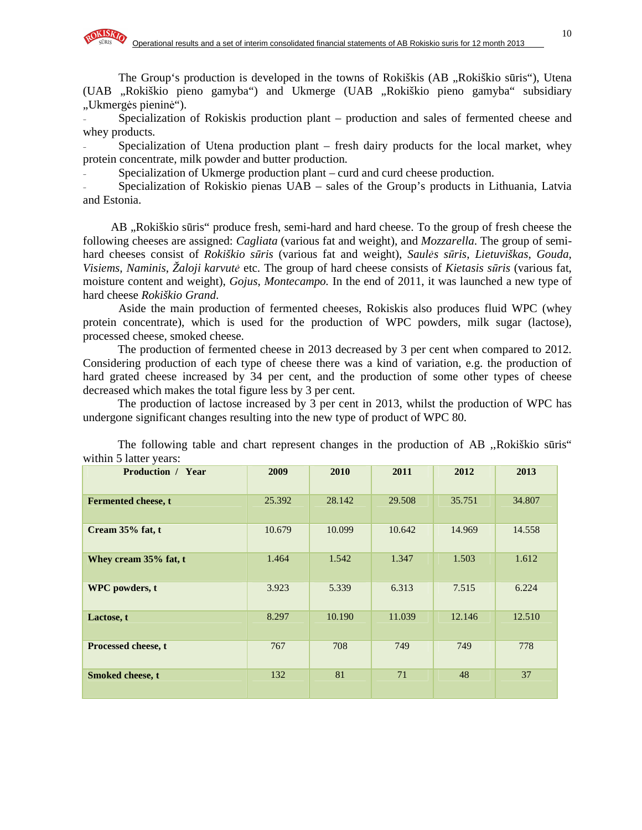The Group's production is developed in the towns of Rokiškis (AB , Rokiškio sūris"), Utena (UAB "Rokiškio pieno gamyba") and Ukmerge (UAB "Rokiškio pieno gamyba" subsidiary "Ukmergės pieninė").

Specialization of Rokiskis production plant – production and sales of fermented cheese and whey products.

Specialization of Utena production plant – fresh dairy products for the local market, whey protein concentrate, milk powder and butter production.

Specialization of Ukmerge production plant – curd and curd cheese production.

Specialization of Rokiskio pienas UAB – sales of the Group's products in Lithuania, Latvia and Estonia.

AB , Rokiškio sūris" produce fresh, semi-hard and hard cheese. To the group of fresh cheese the following cheeses are assigned: *Cagliata* (various fat and weight), and *Mozzarella*. The group of semihard cheeses consist of *Rokiškio s*ū*ris* (various fat and weight), *Saul*ė*s s*ū*ris*, *Lietuviškas*, *Gouda*, *Visiems, Naminis*, *Žaloji karvut*ė etc. The group of hard cheese consists of *Kietasis s*ū*ris* (various fat, moisture content and weight), *Gojus*, *Montecampo.* In the end of 2011, it was launched a new type of hard cheese *Rokiškio Grand*.

Aside the main production of fermented cheeses, Rokiskis also produces fluid WPC (whey protein concentrate), which is used for the production of WPC powders, milk sugar (lactose), processed cheese, smoked cheese.

The production of fermented cheese in 2013 decreased by 3 per cent when compared to 2012. Considering production of each type of cheese there was a kind of variation, e.g. the production of hard grated cheese increased by 34 per cent, and the production of some other types of cheese decreased which makes the total figure less by 3 per cent.

The production of lactose increased by 3 per cent in 2013, whilst the production of WPC has undergone significant changes resulting into the new type of product of WPC 80.

| <b>Production / Year</b>   | 2009   | 2010   | 2011   | 2012   | 2013   |
|----------------------------|--------|--------|--------|--------|--------|
|                            |        |        |        |        |        |
| <b>Fermented cheese, t</b> | 25.392 | 28.142 | 29.508 | 35.751 | 34.807 |
| Cream 35% fat, t           | 10.679 | 10.099 | 10.642 | 14.969 | 14.558 |
| Whey cream 35% fat, t      | 1.464  | 1.542  | 1.347  | 1.503  | 1.612  |
| <b>WPC</b> powders, t      | 3.923  | 5.339  | 6.313  | 7.515  | 6.224  |
| Lactose, t                 | 8.297  | 10.190 | 11.039 | 12.146 | 12.510 |
| Processed cheese, t        | 767    | 708    | 749    | 749    | 778    |
| Smoked cheese, t           | 132    | 81     | 71     | 48     | 37     |

The following table and chart represent changes in the production of AB ,,Rokiškio sūris" within 5 latter years: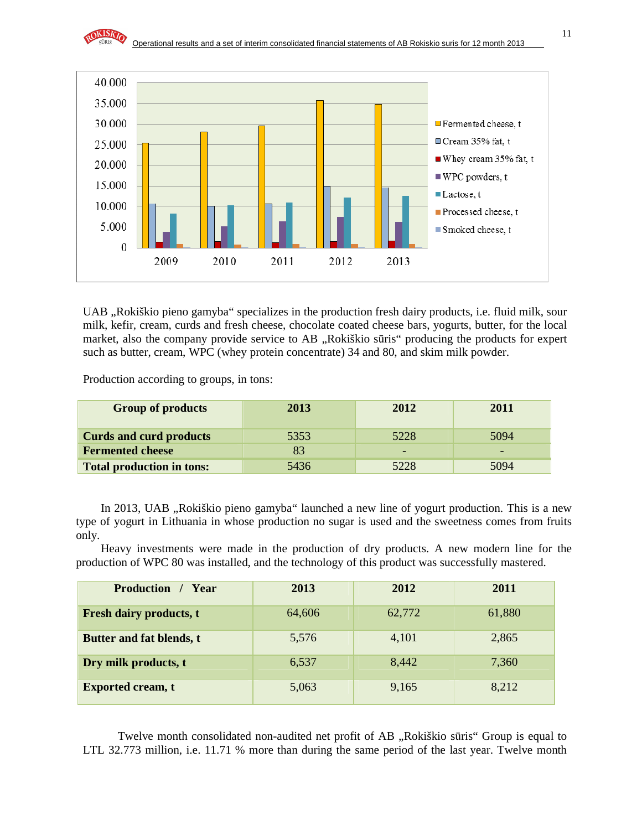

UAB "Rokiškio pieno gamyba" specializes in the production fresh dairy products, i.e. fluid milk, sour milk, kefir, cream, curds and fresh cheese, chocolate coated cheese bars, yogurts, butter, for the local market, also the company provide service to AB "Rokiškio sūris" producing the products for expert such as butter, cream, WPC (whey protein concentrate) 34 and 80, and skim milk powder.

Production according to groups, in tons:

| <b>Group of products</b>         | 2013 | 2012 | 2011 |
|----------------------------------|------|------|------|
|                                  |      |      |      |
| <b>Curds and curd products</b>   | 5353 | 5228 | 5094 |
| <b>Fermented cheese</b>          |      | -    |      |
| <b>Total production in tons:</b> | 5436 | 5228 | 5094 |

In 2013, UAB "Rokiškio pieno gamyba" launched a new line of yogurt production. This is a new type of yogurt in Lithuania in whose production no sugar is used and the sweetness comes from fruits only.

 Heavy investments were made in the production of dry products. A new modern line for the production of WPC 80 was installed, and the technology of this product was successfully mastered.

| <b>Production</b><br>/ Year    | 2013   | 2012   | 2011   |
|--------------------------------|--------|--------|--------|
| <b>Fresh dairy products, t</b> | 64,606 | 62,772 | 61,880 |
| Butter and fat blends, t       | 5,576  | 4,101  | 2,865  |
| Dry milk products, t           | 6,537  | 8,442  | 7,360  |
| <b>Exported cream, t</b>       | 5,063  | 9,165  | 8,212  |

Twelve month consolidated non-audited net profit of AB "Rokiškio sūris" Group is equal to LTL 32.773 million, i.e. 11.71 % more than during the same period of the last year. Twelve month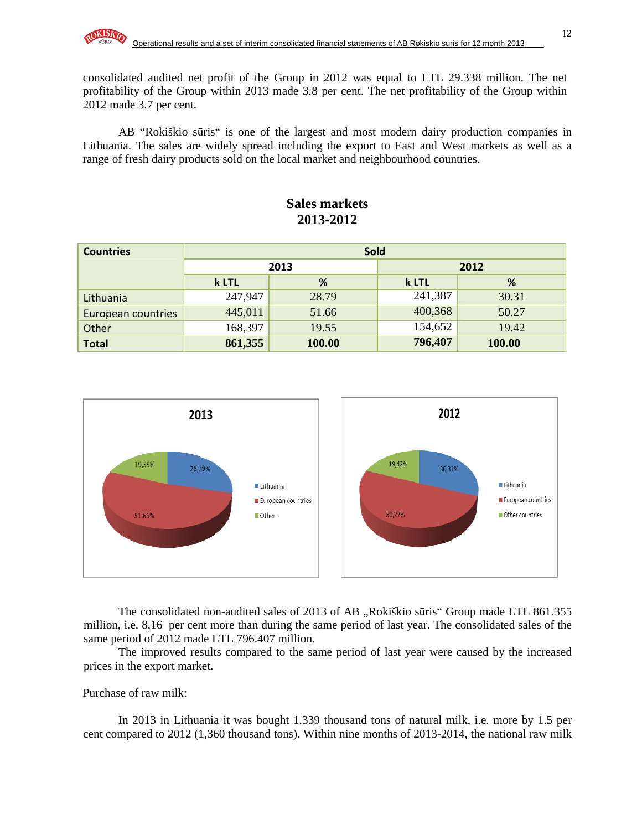consolidated audited net profit of the Group in 2012 was equal to LTL 29.338 million. The net profitability of the Group within 2013 made 3.8 per cent. The net profitability of the Group within 2012 made 3.7 per cent.

AB "Rokiškio sūris" is one of the largest and most modern dairy production companies in Lithuania. The sales are widely spread including the export to East and West markets as well as a range of fresh dairy products sold on the local market and neighbourhood countries.

### **Sales markets 2013-2012**

| <b>Countries</b>   | <b>Sold</b> |        |         |        |  |  |
|--------------------|-------------|--------|---------|--------|--|--|
|                    | 2013        |        |         | 2012   |  |  |
|                    | %<br>k LTL  |        | k LTL   | %      |  |  |
| Lithuania          | 247,947     | 28.79  | 241,387 | 30.31  |  |  |
| European countries | 445,011     | 51.66  | 400,368 | 50.27  |  |  |
| Other              | 168,397     | 19.55  | 154,652 | 19.42  |  |  |
| <b>Total</b>       | 861,355     | 100.00 | 796,407 | 100.00 |  |  |



The consolidated non-audited sales of 2013 of AB "Rokiškio sūris" Group made LTL 861.355 million, i.e. 8,16 per cent more than during the same period of last year. The consolidated sales of the same period of 2012 made LTL 796.407 million.

The improved results compared to the same period of last year were caused by the increased prices in the export market.

Purchase of raw milk:

In 2013 in Lithuania it was bought 1,339 thousand tons of natural milk, i.e. more by 1.5 per cent compared to 2012 (1,360 thousand tons). Within nine months of 2013-2014, the national raw milk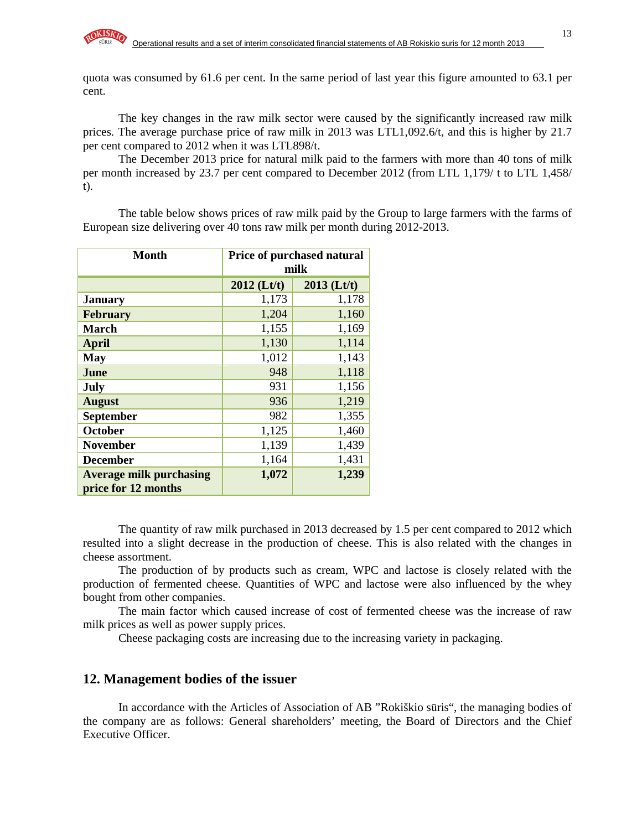quota was consumed by 61.6 per cent. In the same period of last year this figure amounted to 63.1 per cent.

The key changes in the raw milk sector were caused by the significantly increased raw milk prices. The average purchase price of raw milk in 2013 was LTL1,092.6/t, and this is higher by 21.7 per cent compared to 2012 when it was LTL898/t.

The December 2013 price for natural milk paid to the farmers with more than 40 tons of milk per month increased by 23.7 per cent compared to December 2012 (from LTL 1,179/ t to LTL 1,458/ t).

The table below shows prices of raw milk paid by the Group to large farmers with the farms of European size delivering over 40 tons raw milk per month during 2012-2013.

| <b>Month</b>                                          | Price of purchased natural<br>milk |               |  |  |
|-------------------------------------------------------|------------------------------------|---------------|--|--|
|                                                       | $2012$ (Lt/t)                      | $2013$ (Lt/t) |  |  |
| <b>January</b>                                        | 1,173                              | 1,178         |  |  |
| <b>February</b>                                       | 1,204                              | 1,160         |  |  |
| <b>March</b>                                          | 1,155                              | 1,169         |  |  |
| <b>April</b>                                          | 1,130                              | 1,114         |  |  |
| <b>May</b>                                            | 1,012                              | 1,143         |  |  |
| June                                                  | 948                                | 1,118         |  |  |
| July                                                  | 931                                | 1,156         |  |  |
| <b>August</b>                                         | 936                                | 1,219         |  |  |
| <b>September</b>                                      | 982                                | 1,355         |  |  |
| October                                               | 1,125                              | 1,460         |  |  |
| <b>November</b>                                       | 1,139                              | 1,439         |  |  |
| <b>December</b>                                       | 1,164                              | 1,431         |  |  |
| <b>Average milk purchasing</b><br>price for 12 months | 1,072                              | 1,239         |  |  |

The quantity of raw milk purchased in 2013 decreased by 1.5 per cent compared to 2012 which resulted into a slight decrease in the production of cheese. This is also related with the changes in cheese assortment.

The production of by products such as cream, WPC and lactose is closely related with the production of fermented cheese. Quantities of WPC and lactose were also influenced by the whey bought from other companies.

The main factor which caused increase of cost of fermented cheese was the increase of raw milk prices as well as power supply prices.

Cheese packaging costs are increasing due to the increasing variety in packaging.

#### **12. Management bodies of the issuer**

In accordance with the Articles of Association of AB "Rokiškio sūris", the managing bodies of the company are as follows: General shareholders' meeting, the Board of Directors and the Chief Executive Officer.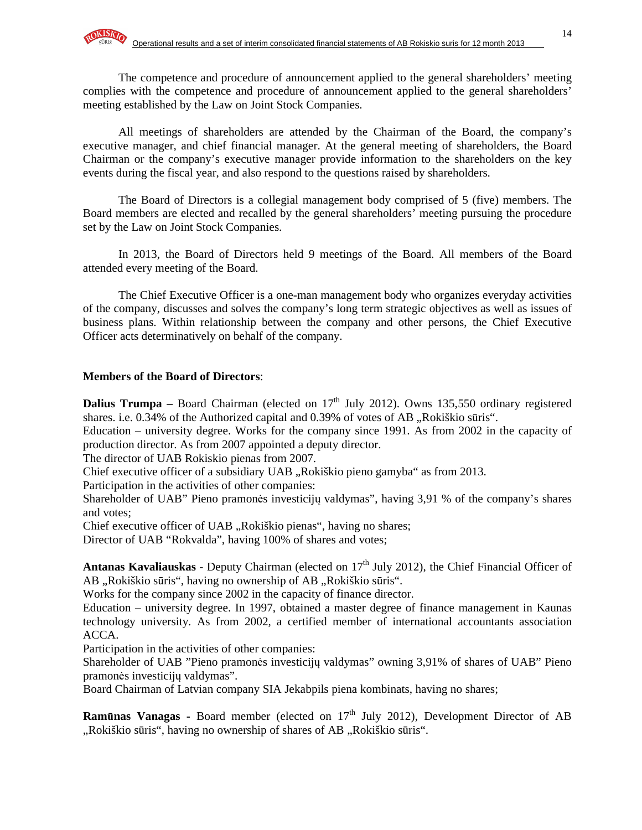The competence and procedure of announcement applied to the general shareholders' meeting complies with the competence and procedure of announcement applied to the general shareholders' meeting established by the Law on Joint Stock Companies.

All meetings of shareholders are attended by the Chairman of the Board, the company's executive manager, and chief financial manager. At the general meeting of shareholders, the Board Chairman or the company's executive manager provide information to the shareholders on the key events during the fiscal year, and also respond to the questions raised by shareholders.

The Board of Directors is a collegial management body comprised of 5 (five) members. The Board members are elected and recalled by the general shareholders' meeting pursuing the procedure set by the Law on Joint Stock Companies.

In 2013, the Board of Directors held 9 meetings of the Board. All members of the Board attended every meeting of the Board.

The Chief Executive Officer is a one-man management body who organizes everyday activities of the company, discusses and solves the company's long term strategic objectives as well as issues of business plans. Within relationship between the company and other persons, the Chief Executive Officer acts determinatively on behalf of the company.

#### **Members of the Board of Directors**:

**Dalius Trumpa** – Board Chairman (elected on 17<sup>th</sup> July 2012). Owns 135,550 ordinary registered shares. i.e.  $0.34\%$  of the Authorized capital and  $0.39\%$  of votes of AB "Rokiškio sūris".

Education – university degree. Works for the company since 1991. As from 2002 in the capacity of production director. As from 2007 appointed a deputy director.

The director of UAB Rokiskio pienas from 2007.

Chief executive officer of a subsidiary UAB "Rokiškio pieno gamyba" as from 2013.

Participation in the activities of other companies:

Shareholder of UAB" Pieno pramonės investicijų valdymas", having 3,91 % of the company's shares and votes;

Chief executive officer of UAB "Rokiškio pienas", having no shares;

Director of UAB "Rokvalda", having 100% of shares and votes;

Antanas Kavaliauskas - Deputy Chairman (elected on 17<sup>th</sup> July 2012), the Chief Financial Officer of AB "Rokiškio sūris", having no ownership of AB "Rokiškio sūris".

Works for the company since 2002 in the capacity of finance director.

Education – university degree. In 1997, obtained a master degree of finance management in Kaunas technology university. As from 2002, a certified member of international accountants association ACCA.

Participation in the activities of other companies:

Shareholder of UAB "Pieno pramonės investicijų valdymas" owning 3,91% of shares of UAB" Pieno pramonės investicijų valdymas".

Board Chairman of Latvian company SIA Jekabpils piena kombinats, having no shares;

**Ramūnas Vanagas -** Board member (elected on 17<sup>th</sup> July 2012), Development Director of AB "Rokiškio sūris", having no ownership of shares of AB "Rokiškio sūris".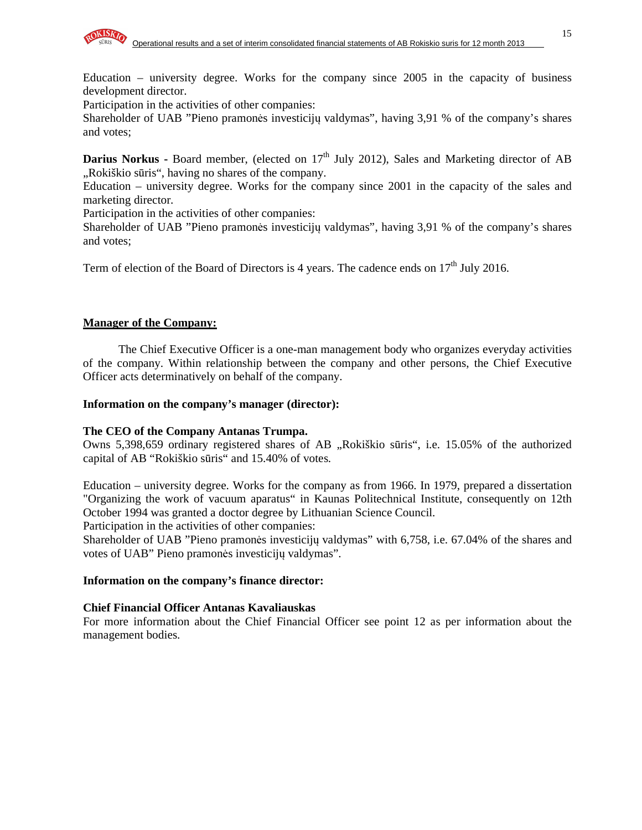

Participation in the activities of other companies:

Shareholder of UAB "Pieno pramonės investicijų valdymas", having 3,91 % of the company's shares and votes;

**Darius Norkus - Board member, (elected on 17<sup>th</sup> July 2012), Sales and Marketing director of AB** "Rokiškio sūris", having no shares of the company.

Education – university degree. Works for the company since 2001 in the capacity of the sales and marketing director.

Participation in the activities of other companies:

Shareholder of UAB "Pieno pramonės investicijų valdymas", having 3,91 % of the company's shares and votes;

Term of election of the Board of Directors is 4 years. The cadence ends on  $17<sup>th</sup>$  July 2016.

#### **Manager of the Company:**

The Chief Executive Officer is a one-man management body who organizes everyday activities of the company. Within relationship between the company and other persons, the Chief Executive Officer acts determinatively on behalf of the company.

#### **Information on the company's manager (director):**

#### **The CEO of the Company Antanas Trumpa.**

Owns 5,398,659 ordinary registered shares of AB "Rokiškio sūris", i.e. 15.05% of the authorized capital of AB "Rokiškio sūris" and 15.40% of votes.

Education – university degree. Works for the company as from 1966. In 1979, prepared a dissertation "Organizing the work of vacuum aparatus" in Kaunas Politechnical Institute, consequently on 12th October 1994 was granted a doctor degree by Lithuanian Science Council.

Participation in the activities of other companies:

Shareholder of UAB "Pieno pramonės investicijų valdymas" with 6,758, i.e. 67.04% of the shares and votes of UAB" Pieno pramonės investicijų valdymas".

#### **Information on the company's finance director:**

#### **Chief Financial Officer Antanas Kavaliauskas**

For more information about the Chief Financial Officer see point 12 as per information about the management bodies.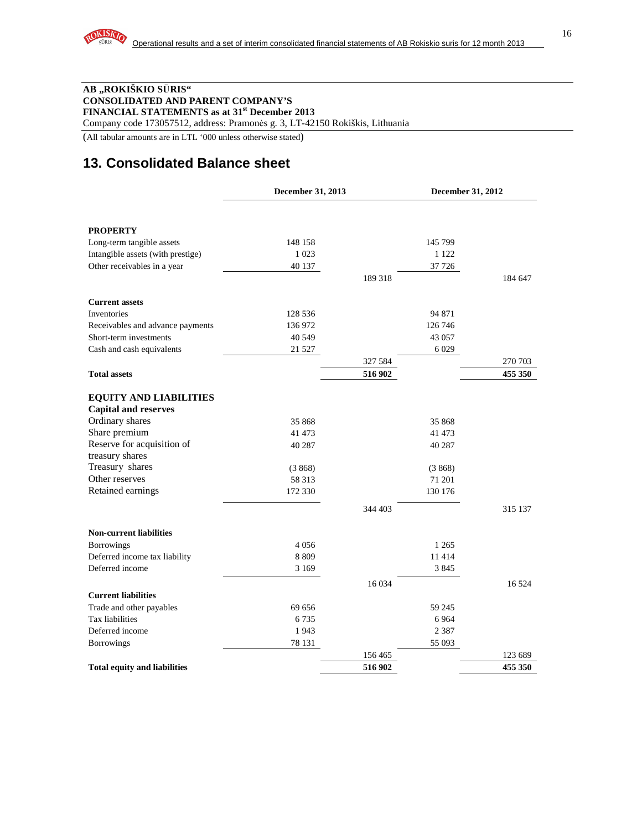#### **AB "ROKIŠKIO S**Ū**RIS" CONSOLIDATED AND PARENT COMPANY'S FINANCIAL STATEMENTS as at 31st December 2013**

Company code 173057512, address: Pramonės g. 3, LT-42150 Rokiškis, Lithuania

(All tabular amounts are in LTL '000 unless otherwise stated)

# **13. Consolidated Balance sheet**

|                                                              | December 31, 2013 |         | December 31, 2012 |         |
|--------------------------------------------------------------|-------------------|---------|-------------------|---------|
|                                                              |                   |         |                   |         |
| <b>PROPERTY</b>                                              |                   |         |                   |         |
| Long-term tangible assets                                    | 148 158           |         | 145 799           |         |
| Intangible assets (with prestige)                            | 1 0 2 3           |         | 1 1 2 2           |         |
| Other receivables in a year                                  | 40 137            |         | 37 726            |         |
|                                                              |                   | 189 318 |                   | 184 647 |
| <b>Current assets</b>                                        |                   |         |                   |         |
| <b>Inventories</b>                                           | 128 536           |         | 94 871            |         |
| Receivables and advance payments                             | 136 972           |         | 126 746           |         |
| Short-term investments                                       | 40 549            |         | 43 057            |         |
| Cash and cash equivalents                                    | 21 5 27           |         | 6 0 29            |         |
|                                                              |                   | 327 584 |                   | 270 703 |
| <b>Total assets</b>                                          |                   | 516 902 |                   | 455 350 |
| <b>EQUITY AND LIABILITIES</b><br><b>Capital and reserves</b> |                   |         |                   |         |
| Ordinary shares                                              | 35 868            |         | 35 868            |         |
| Share premium                                                | 41 473            |         | 41 473            |         |
| Reserve for acquisition of                                   | 40 287            |         | 40 287            |         |
| treasury shares                                              |                   |         |                   |         |
| Treasury shares                                              | (3868)            |         | (3868)            |         |
| Other reserves                                               | 58 313            |         | 71 201            |         |
| Retained earnings                                            | 172 330           |         | 130 176           |         |
|                                                              |                   | 344 403 |                   | 315 137 |
| <b>Non-current liabilities</b>                               |                   |         |                   |         |
| <b>Borrowings</b>                                            | 4056              |         | 1 2 6 5           |         |
| Deferred income tax liability                                | 8 8 0 9           |         | 11414             |         |
| Deferred income                                              | 3 1 6 9           |         | 3845              |         |
|                                                              |                   | 16 0 34 |                   | 16 5 24 |
| <b>Current liabilities</b>                                   |                   |         |                   |         |
| Trade and other payables                                     | 69 656            |         | 59 245            |         |
| Tax liabilities                                              | 6735              |         | 6 9 6 4           |         |
| Deferred income                                              | 1943              |         | 2 3 8 7           |         |
| <b>Borrowings</b>                                            | 78 131            | 156 465 | 55 093            | 123 689 |
| <b>Total equity and liabilities</b>                          |                   | 516 902 |                   | 455 350 |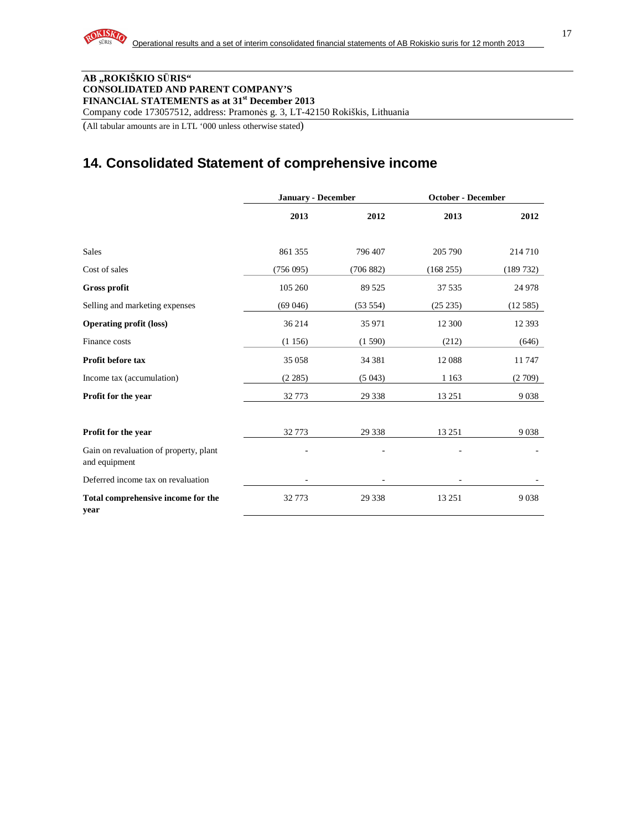#### **AB "ROKIŠKIO S**Ū**RIS" CONSOLIDATED AND PARENT COMPANY'S FINANCIAL STATEMENTS as at 31st December 2013**

Company code 173057512, address: Pramonės g. 3, LT-42150 Rokiškis, Lithuania

(All tabular amounts are in LTL '000 unless otherwise stated)

# **14. Consolidated Statement of comprehensive income**

|                                                         | <b>January - December</b> |           | <b>October - December</b> |          |  |
|---------------------------------------------------------|---------------------------|-----------|---------------------------|----------|--|
|                                                         | 2013                      | 2012      | 2013                      | 2012     |  |
| <b>Sales</b>                                            | 861 355                   | 796 407   | 205 790                   | 214710   |  |
| Cost of sales                                           | (756095)                  | (706 882) | (168 255)                 | (189732) |  |
| <b>Gross profit</b>                                     | 105 260                   | 89 5 25   | 37 535                    | 24 9 78  |  |
| Selling and marketing expenses                          | (69046)                   | (53 554)  | (25 235)                  | (12.585) |  |
| <b>Operating profit (loss)</b>                          | 36 214                    | 35 971    | 12 300                    | 12 3 9 3 |  |
| Finance costs                                           | (1156)                    | (1590)    | (212)                     | (646)    |  |
| <b>Profit before tax</b>                                | 35 058                    | 34 381    | 12088                     | 11747    |  |
| Income tax (accumulation)                               | (2 285)                   | (5043)    | 1 1 6 3                   | (2709)   |  |
| Profit for the year                                     | 32773                     | 29 3 38   | 13 25 1                   | 9038     |  |
| Profit for the year                                     | 32773                     | 29 3 38   | 13 25 1                   | 9038     |  |
| Gain on revaluation of property, plant<br>and equipment |                           |           |                           |          |  |
| Deferred income tax on revaluation                      |                           |           |                           |          |  |
| Total comprehensive income for the<br>year              | 32773                     | 29 3 38   | 13 25 1                   | 9038     |  |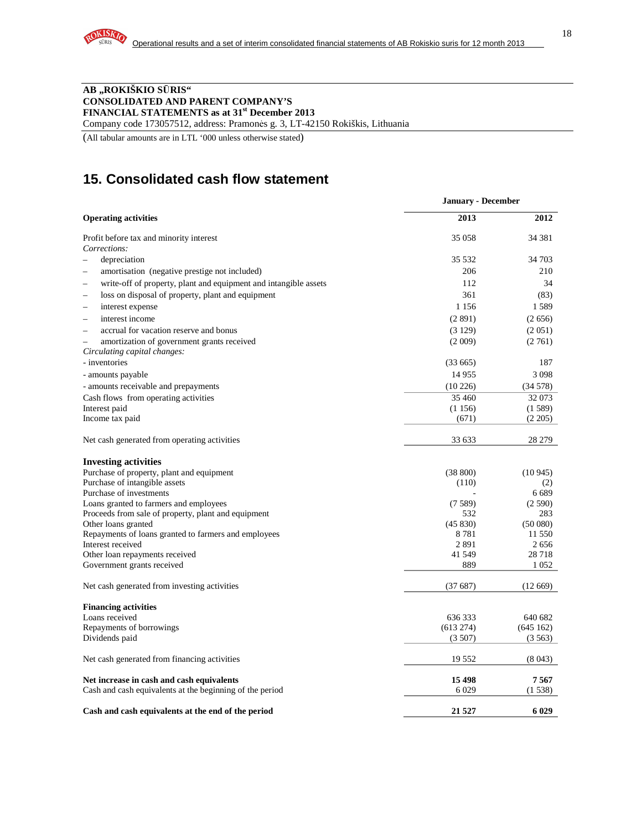#### **AB "ROKIŠKIO S**Ū**RIS" CONSOLIDATED AND PARENT COMPANY'S FINANCIAL STATEMENTS as at 31st December 2013**

Company code 173057512, address: Pramonės g. 3, LT-42150 Rokiškis, Lithuania

(All tabular amounts are in LTL '000 unless otherwise stated)

# **15. Consolidated cash flow statement**

|                                                                  | <b>January - December</b> |          |
|------------------------------------------------------------------|---------------------------|----------|
| <b>Operating activities</b>                                      | 2013                      | 2012     |
| Profit before tax and minority interest                          | 35 058                    | 34 381   |
| Corrections:                                                     |                           |          |
| depreciation                                                     | 35 5 32                   | 34 703   |
| amortisation (negative prestige not included)                    | 206                       | 210      |
| write-off of property, plant and equipment and intangible assets | 112                       | 34       |
| loss on disposal of property, plant and equipment                | 361                       | (83)     |
| interest expense<br>$\sim$                                       | 1 1 5 6                   | 1589     |
| interest income<br>$\overline{\phantom{0}}$                      | (2891)                    | (2656)   |
| accrual for vacation reserve and bonus                           | (3129)                    | (2 051)  |
| amortization of government grants received<br>$\equiv$           | (2 009)                   | (2761)   |
| Circulating capital changes:                                     |                           |          |
| - inventories                                                    | (33665)                   | 187      |
| - amounts payable                                                | 14955                     | 3098     |
| - amounts receivable and prepayments                             | (10226)                   | (34578)  |
| Cash flows from operating activities                             | 35 460                    | 32073    |
| Interest paid                                                    | (1156)                    | (1589)   |
| Income tax paid                                                  | (671)                     | (2 205)  |
| Net cash generated from operating activities                     | 33 633                    | 28 279   |
| <b>Investing activities</b>                                      |                           |          |
| Purchase of property, plant and equipment                        | (38 800)                  | (10945)  |
| Purchase of intangible assets                                    | (110)                     | (2)      |
| Purchase of investments                                          |                           | 6 6 8 9  |
| Loans granted to farmers and employees                           | (7589)                    | (2590)   |
| Proceeds from sale of property, plant and equipment              | 532                       | 283      |
| Other loans granted                                              | (45 830)                  | (50080)  |
| Repayments of loans granted to farmers and employees             | 8781                      | 11 550   |
| Interest received                                                | 2891                      | 2656     |
| Other loan repayments received                                   | 41 549                    | 28718    |
| Government grants received                                       | 889                       | 1 0 5 2  |
| Net cash generated from investing activities                     | (37687)                   | (12669)  |
| <b>Financing activities</b>                                      |                           |          |
| Loans received                                                   | 636333                    | 640 682  |
| Repayments of borrowings                                         | (613 274)                 | (645162) |
| Dividends paid                                                   | (3507)                    | (3.563)  |
| Net cash generated from financing activities                     | 19 5 5 2                  | (8043)   |
| Net increase in cash and cash equivalents                        | 15 4 98                   | 7567     |
| Cash and cash equivalents at the beginning of the period         | 6029                      | (1538)   |
| Cash and cash equivalents at the end of the period               | 21 5 27                   | 6 0 29   |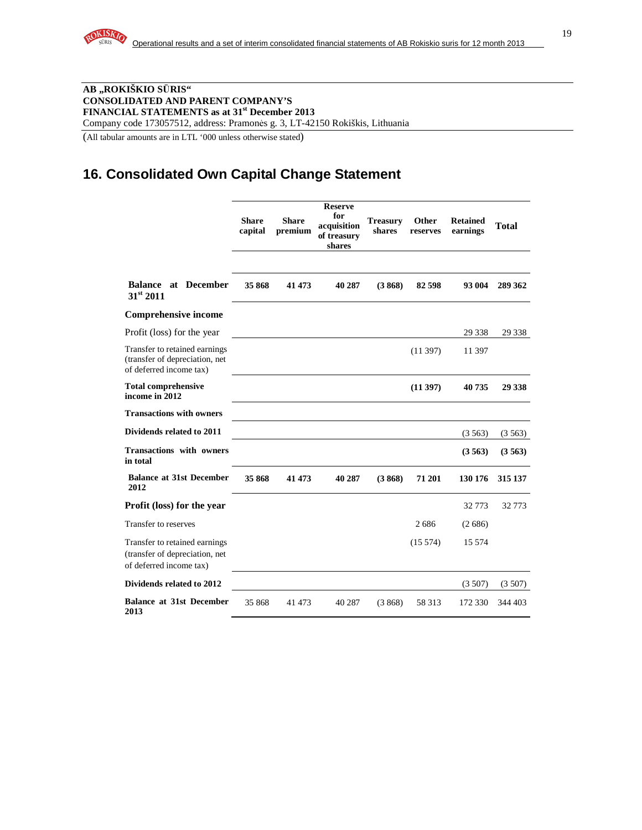#### **AB "ROKIŠKIO S**Ū**RIS" CONSOLIDATED AND PARENT COMPANY'S FINANCIAL STATEMENTS as at 31st December 2013**  Company code 173057512, address: Pramonės g. 3, LT-42150 Rokiškis, Lithuania

(All tabular amounts are in LTL '000 unless otherwise stated)

# **16. Consolidated Own Capital Change Statement**

|                                                                                            | <b>Share</b><br>capital | <b>Share</b><br>premium | <b>Reserve</b><br>for<br>acquisition<br>of treasury<br>shares | <b>Treasury</b><br>shares | Other<br>reserves | <b>Retained</b><br>earnings | <b>Total</b> |
|--------------------------------------------------------------------------------------------|-------------------------|-------------------------|---------------------------------------------------------------|---------------------------|-------------------|-----------------------------|--------------|
| <b>Balance at December</b><br>31st 2011                                                    | 35 868                  | 41 473                  | 40 287                                                        | (3868)                    | 82 598            | 93 004                      | 289 362      |
| <b>Comprehensive income</b>                                                                |                         |                         |                                                               |                           |                   |                             |              |
| Profit (loss) for the year                                                                 |                         |                         |                                                               |                           |                   | 29 3 38                     | 29 3 38      |
| Transfer to retained earnings<br>(transfer of depreciation, net<br>of deferred income tax) |                         |                         |                                                               |                           | (11397)           | 11 397                      |              |
| <b>Total comprehensive</b><br>income in 2012                                               |                         |                         |                                                               |                           | (11397)           | 40735                       | 29 338       |
| <b>Transactions with owners</b>                                                            |                         |                         |                                                               |                           |                   |                             |              |
| Dividends related to 2011                                                                  |                         |                         |                                                               |                           |                   | (3563)                      | (3563)       |
| <b>Transactions with owners</b><br>in total                                                |                         |                         |                                                               |                           |                   | (3563)                      | (3563)       |
| <b>Balance at 31st December</b><br>2012                                                    | 35 868                  | 41 473                  | 40 287                                                        | (3868)                    | 71 201            | 130 176                     | 315 137      |
| <b>Profit (loss) for the year</b>                                                          |                         |                         |                                                               |                           |                   | 32773                       | 32 7 7 3     |
| Transfer to reserves                                                                       |                         |                         |                                                               |                           | 2686              | (2686)                      |              |
| Transfer to retained earnings<br>(transfer of depreciation, net<br>of deferred income tax) |                         |                         |                                                               |                           | (15574)           | 15 5 7 4                    |              |
| Dividends related to 2012                                                                  |                         |                         |                                                               |                           |                   | (3507)                      | (3507)       |
| <b>Balance at 31st December</b><br>2013                                                    | 35 868                  | 41 473                  | 40 287                                                        | (3868)                    | 58 313            | 172 330                     | 344 403      |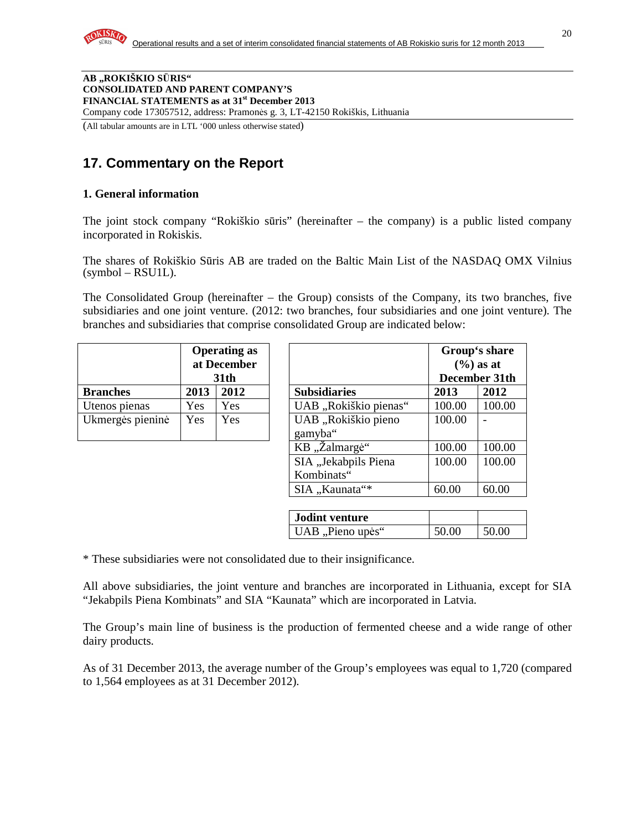

#### **AB "ROKIŠKIO S**Ū**RIS" CONSOLIDATED AND PARENT COMPANY'S FINANCIAL STATEMENTS as at 31st December 2013**  Company code 173057512, address: Pramonės g. 3, LT-42150 Rokiškis, Lithuania

(All tabular amounts are in LTL '000 unless otherwise stated)

# **17. Commentary on the Report**

#### **1. General information**

The joint stock company "Rokiškio sūris" (hereinafter – the company) is a public listed company incorporated in Rokiskis.

The shares of Rokiškio Sūris AB are traded on the Baltic Main List of the NASDAQ OMX Vilnius  $(symbol - RSU1L)$ .

The Consolidated Group (hereinafter – the Group) consists of the Company, its two branches, five subsidiaries and one joint venture. (2012: two branches, four subsidiaries and one joint venture). The branches and subsidiaries that comprise consolidated Group are indicated below:

|                  | <b>Operating as</b><br>at December<br><b>31th</b> |      |                                |
|------------------|---------------------------------------------------|------|--------------------------------|
| <b>Branches</b>  | 2013                                              | 2012 | <b>Subsidiaries</b>            |
| Utenos pienas    | Yes                                               | Yes  | UAB "Rokiškio pienas           |
| Ukmergės pieninė | Yes                                               | Yes  | UAB "Rokiškio pieno<br>gamyba" |

|                  |      | <b>Operating as</b><br>at December<br>31 <sub>th</sub> |                                    |        | Group's share<br>$(\% )$ as at<br>December 31th |
|------------------|------|--------------------------------------------------------|------------------------------------|--------|-------------------------------------------------|
| <b>Branches</b>  | 2013 | 2012                                                   | <b>Subsidiaries</b>                | 2013   | 2012                                            |
| Utenos pienas    | Yes  | Yes                                                    | UAB "Rokiškio pienas"              | 100.00 | 100.00                                          |
| Ukmergės pieninė | Yes  | Yes                                                    | UAB "Rokiškio pieno<br>gamyba"     | 100.00 |                                                 |
|                  |      |                                                        | KB, Zalmargė"                      | 100.00 | 100.00                                          |
|                  |      |                                                        | SIA "Jekabpils Piena<br>Kombinats" | 100.00 | 100.00                                          |
|                  |      |                                                        | SIA "Kaunata"*                     | 60.00  | 60.00                                           |

| <b>Jodint venture</b> |       |       |
|-----------------------|-------|-------|
| UAB, Pieno upės"      | 50.00 | 50.00 |

\* These subsidiaries were not consolidated due to their insignificance.

All above subsidiaries, the joint venture and branches are incorporated in Lithuania, except for SIA "Jekabpils Piena Kombinats" and SIA "Kaunata" which are incorporated in Latvia.

The Group's main line of business is the production of fermented cheese and a wide range of other dairy products.

As of 31 December 2013, the average number of the Group's employees was equal to 1,720 (compared to 1,564 employees as at 31 December 2012).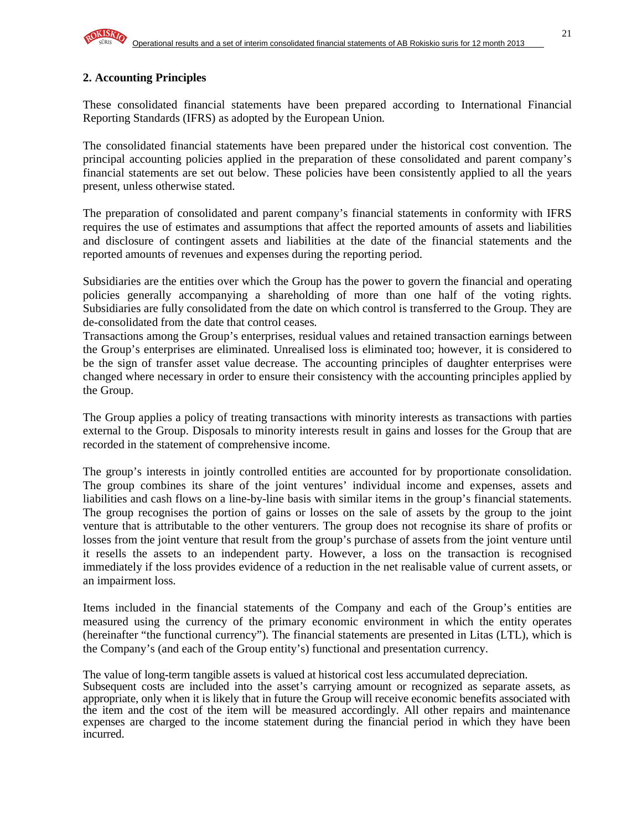### **2. Accounting Principles**

These consolidated financial statements have been prepared according to International Financial Reporting Standards (IFRS) as adopted by the European Union.

The consolidated financial statements have been prepared under the historical cost convention. The principal accounting policies applied in the preparation of these consolidated and parent company's financial statements are set out below. These policies have been consistently applied to all the years present, unless otherwise stated.

The preparation of consolidated and parent company's financial statements in conformity with IFRS requires the use of estimates and assumptions that affect the reported amounts of assets and liabilities and disclosure of contingent assets and liabilities at the date of the financial statements and the reported amounts of revenues and expenses during the reporting period.

Subsidiaries are the entities over which the Group has the power to govern the financial and operating policies generally accompanying a shareholding of more than one half of the voting rights. Subsidiaries are fully consolidated from the date on which control is transferred to the Group. They are de-consolidated from the date that control ceases.

Transactions among the Group's enterprises, residual values and retained transaction earnings between the Group's enterprises are eliminated. Unrealised loss is eliminated too; however, it is considered to be the sign of transfer asset value decrease. The accounting principles of daughter enterprises were changed where necessary in order to ensure their consistency with the accounting principles applied by the Group.

The Group applies a policy of treating transactions with minority interests as transactions with parties external to the Group. Disposals to minority interests result in gains and losses for the Group that are recorded in the statement of comprehensive income.

The group's interests in jointly controlled entities are accounted for by proportionate consolidation. The group combines its share of the joint ventures' individual income and expenses, assets and liabilities and cash flows on a line-by-line basis with similar items in the group's financial statements. The group recognises the portion of gains or losses on the sale of assets by the group to the joint venture that is attributable to the other venturers. The group does not recognise its share of profits or losses from the joint venture that result from the group's purchase of assets from the joint venture until it resells the assets to an independent party. However, a loss on the transaction is recognised immediately if the loss provides evidence of a reduction in the net realisable value of current assets, or an impairment loss.

Items included in the financial statements of the Company and each of the Group's entities are measured using the currency of the primary economic environment in which the entity operates (hereinafter "the functional currency"). The financial statements are presented in Litas (LTL), which is the Company's (and each of the Group entity's) functional and presentation currency.

The value of long-term tangible assets is valued at historical cost less accumulated depreciation. Subsequent costs are included into the asset's carrying amount or recognized as separate assets, as appropriate, only when it is likely that in future the Group will receive economic benefits associated with the item and the cost of the item will be measured accordingly. All other repairs and maintenance expenses are charged to the income statement during the financial period in which they have been incurred.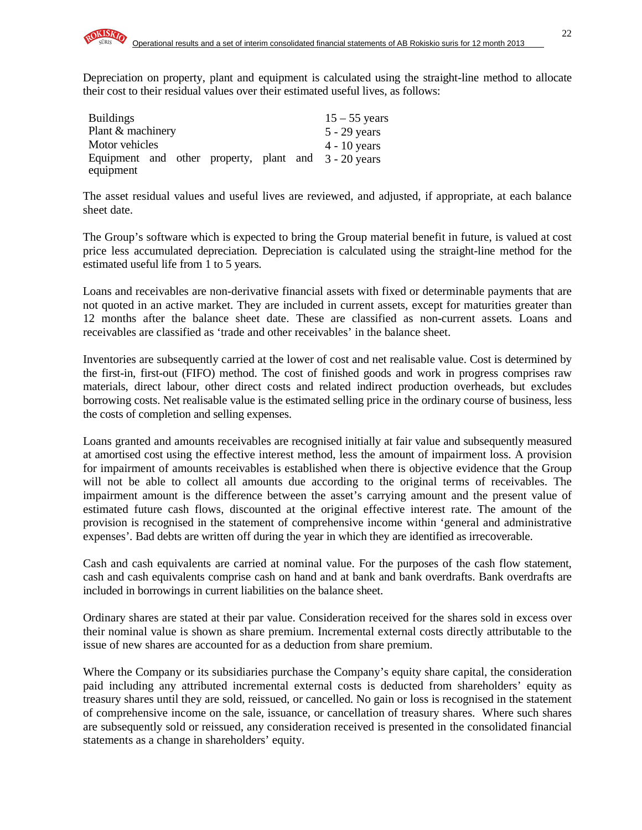Depreciation on property, plant and equipment is calculated using the straight-line method to allocate their cost to their residual values over their estimated useful lives, as follows:

| <b>Buildings</b>  |  |  | $15 - 55$ years                                      |
|-------------------|--|--|------------------------------------------------------|
| Plant & machinery |  |  | $5 - 29$ years                                       |
| Motor vehicles    |  |  | $4 - 10$ years                                       |
|                   |  |  | Equipment and other property, plant and 3 - 20 years |
| equipment         |  |  |                                                      |

The asset residual values and useful lives are reviewed, and adjusted, if appropriate, at each balance sheet date.

The Group's software which is expected to bring the Group material benefit in future, is valued at cost price less accumulated depreciation. Depreciation is calculated using the straight-line method for the estimated useful life from 1 to 5 years.

Loans and receivables are non-derivative financial assets with fixed or determinable payments that are not quoted in an active market. They are included in current assets, except for maturities greater than 12 months after the balance sheet date. These are classified as non-current assets. Loans and receivables are classified as 'trade and other receivables' in the balance sheet.

Inventories are subsequently carried at the lower of cost and net realisable value. Cost is determined by the first-in, first-out (FIFO) method. The cost of finished goods and work in progress comprises raw materials, direct labour, other direct costs and related indirect production overheads, but excludes borrowing costs. Net realisable value is the estimated selling price in the ordinary course of business, less the costs of completion and selling expenses.

Loans granted and amounts receivables are recognised initially at fair value and subsequently measured at amortised cost using the effective interest method, less the amount of impairment loss. A provision for impairment of amounts receivables is established when there is objective evidence that the Group will not be able to collect all amounts due according to the original terms of receivables. The impairment amount is the difference between the asset's carrying amount and the present value of estimated future cash flows, discounted at the original effective interest rate. The amount of the provision is recognised in the statement of comprehensive income within 'general and administrative expenses'. Bad debts are written off during the year in which they are identified as irrecoverable.

Cash and cash equivalents are carried at nominal value. For the purposes of the cash flow statement, cash and cash equivalents comprise cash on hand and at bank and bank overdrafts. Bank overdrafts are included in borrowings in current liabilities on the balance sheet.

Ordinary shares are stated at their par value. Consideration received for the shares sold in excess over their nominal value is shown as share premium. Incremental external costs directly attributable to the issue of new shares are accounted for as a deduction from share premium.

Where the Company or its subsidiaries purchase the Company's equity share capital, the consideration paid including any attributed incremental external costs is deducted from shareholders' equity as treasury shares until they are sold, reissued, or cancelled. No gain or loss is recognised in the statement of comprehensive income on the sale, issuance, or cancellation of treasury shares. Where such shares are subsequently sold or reissued, any consideration received is presented in the consolidated financial statements as a change in shareholders' equity.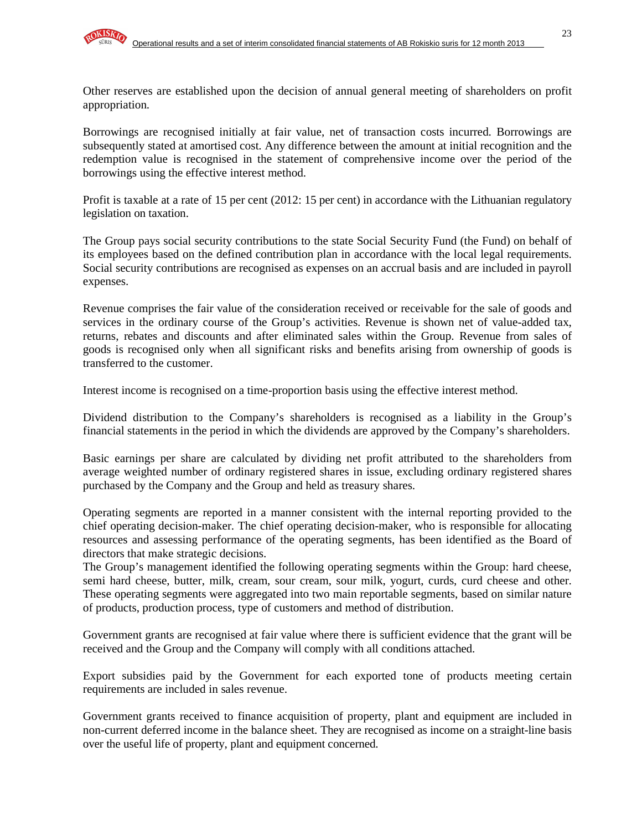Other reserves are established upon the decision of annual general meeting of shareholders on profit appropriation.

Borrowings are recognised initially at fair value, net of transaction costs incurred. Borrowings are subsequently stated at amortised cost. Any difference between the amount at initial recognition and the redemption value is recognised in the statement of comprehensive income over the period of the borrowings using the effective interest method.

Profit is taxable at a rate of 15 per cent (2012: 15 per cent) in accordance with the Lithuanian regulatory legislation on taxation.

The Group pays social security contributions to the state Social Security Fund (the Fund) on behalf of its employees based on the defined contribution plan in accordance with the local legal requirements. Social security contributions are recognised as expenses on an accrual basis and are included in payroll expenses.

Revenue comprises the fair value of the consideration received or receivable for the sale of goods and services in the ordinary course of the Group's activities. Revenue is shown net of value-added tax, returns, rebates and discounts and after eliminated sales within the Group. Revenue from sales of goods is recognised only when all significant risks and benefits arising from ownership of goods is transferred to the customer.

Interest income is recognised on a time-proportion basis using the effective interest method.

Dividend distribution to the Company's shareholders is recognised as a liability in the Group's financial statements in the period in which the dividends are approved by the Company's shareholders.

Basic earnings per share are calculated by dividing net profit attributed to the shareholders from average weighted number of ordinary registered shares in issue, excluding ordinary registered shares purchased by the Company and the Group and held as treasury shares.

Operating segments are reported in a manner consistent with the internal reporting provided to the chief operating decision-maker. The chief operating decision-maker, who is responsible for allocating resources and assessing performance of the operating segments, has been identified as the Board of directors that make strategic decisions.

The Group's management identified the following operating segments within the Group: hard cheese, semi hard cheese, butter, milk, cream, sour cream, sour milk, yogurt, curds, curd cheese and other. These operating segments were aggregated into two main reportable segments, based on similar nature of products, production process, type of customers and method of distribution.

Government grants are recognised at fair value where there is sufficient evidence that the grant will be received and the Group and the Company will comply with all conditions attached.

Export subsidies paid by the Government for each exported tone of products meeting certain requirements are included in sales revenue.

Government grants received to finance acquisition of property, plant and equipment are included in non-current deferred income in the balance sheet. They are recognised as income on a straight-line basis over the useful life of property, plant and equipment concerned.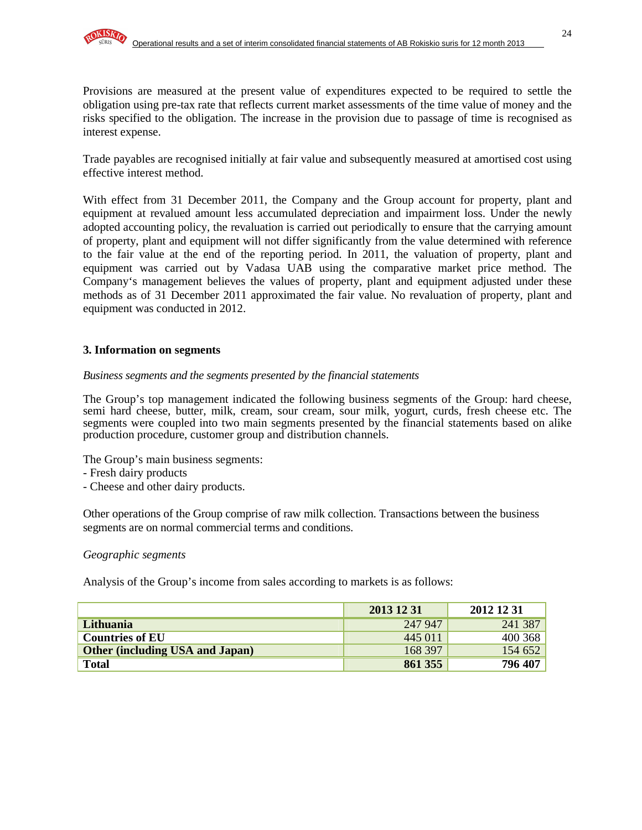Provisions are measured at the present value of expenditures expected to be required to settle the obligation using pre-tax rate that reflects current market assessments of the time value of money and the risks specified to the obligation. The increase in the provision due to passage of time is recognised as interest expense.

Trade payables are recognised initially at fair value and subsequently measured at amortised cost using effective interest method.

With effect from 31 December 2011, the Company and the Group account for property, plant and equipment at revalued amount less accumulated depreciation and impairment loss. Under the newly adopted accounting policy, the revaluation is carried out periodically to ensure that the carrying amount of property, plant and equipment will not differ significantly from the value determined with reference to the fair value at the end of the reporting period. In 2011, the valuation of property, plant and equipment was carried out by Vadasa UAB using the comparative market price method. The Company's management believes the values of property, plant and equipment adjusted under these methods as of 31 December 2011 approximated the fair value. No revaluation of property, plant and equipment was conducted in 2012.

#### **3. Information on segments**

#### *Business segments and the segments presented by the financial statements*

The Group's top management indicated the following business segments of the Group: hard cheese, semi hard cheese, butter, milk, cream, sour cream, sour milk, yogurt, curds, fresh cheese etc. The segments were coupled into two main segments presented by the financial statements based on alike production procedure, customer group and distribution channels.

The Group's main business segments:

- Fresh dairy products
- Cheese and other dairy products.

Other operations of the Group comprise of raw milk collection. Transactions between the business segments are on normal commercial terms and conditions.

#### *Geographic segments*

Analysis of the Group's income from sales according to markets is as follows:

|                                        | 2013 12 31 | 2012 12 31 |
|----------------------------------------|------------|------------|
| Lithuania                              | 247 947    | 241 387    |
| <b>Countries of EU</b>                 | 445 011    | 400 368    |
| <b>Other (including USA and Japan)</b> | 168 397    | 154 652    |
| <b>Total</b>                           | 861 355    | 796 407    |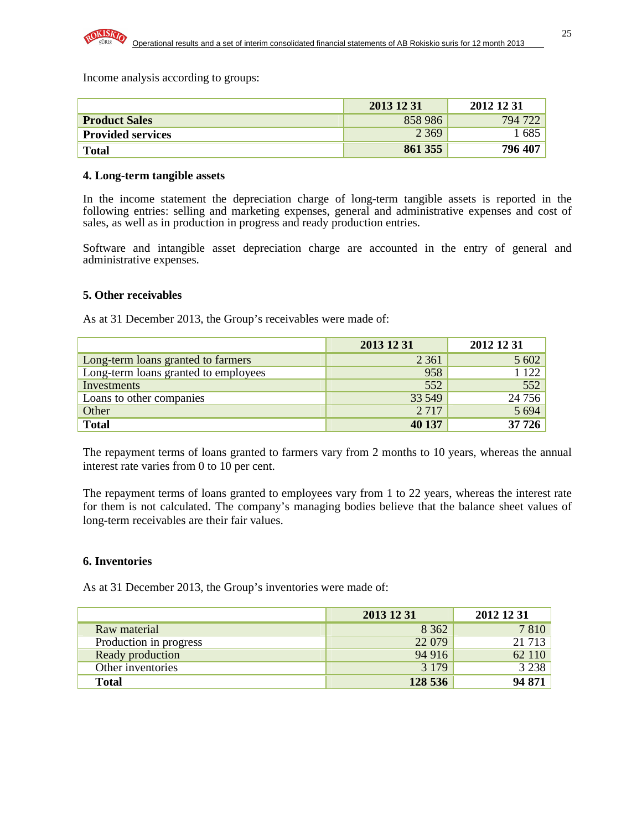Income analysis according to groups:

|                          | 2013 12 31 | 2012 12 31 |
|--------------------------|------------|------------|
| <b>Product Sales</b>     | 858 986    | 794 722    |
| <b>Provided services</b> | 2 3 6 9    | 1 685      |
| <b>Total</b>             | 861 355    | 796 407    |

#### **4. Long-term tangible assets**

In the income statement the depreciation charge of long-term tangible assets is reported in the following entries: selling and marketing expenses, general and administrative expenses and cost of sales, as well as in production in progress and ready production entries.

Software and intangible asset depreciation charge are accounted in the entry of general and administrative expenses.

#### **5. Other receivables**

As at 31 December 2013, the Group's receivables were made of:

|                                      | 2013 12 31 | 2012 12 31 |
|--------------------------------------|------------|------------|
| Long-term loans granted to farmers   | 2 3 6 1    | 5 602      |
| Long-term loans granted to employees | 958        | 1 1 2 2    |
| Investments                          | 552        | 552        |
| Loans to other companies             | 33 549     | 24 7 5 6   |
| Other                                | 2 7 1 7    | 5 6 9 4    |
| <b>Total</b>                         | 40 137     | 37 726     |

The repayment terms of loans granted to farmers vary from 2 months to 10 years, whereas the annual interest rate varies from 0 to 10 per cent.

The repayment terms of loans granted to employees vary from 1 to 22 years, whereas the interest rate for them is not calculated. The company's managing bodies believe that the balance sheet values of long-term receivables are their fair values.

#### **6. Inventories**

As at 31 December 2013, the Group's inventories were made of:

|                        | 2013 12 31 | 2012 12 31 |
|------------------------|------------|------------|
| Raw material           | 8 3 6 2    | 7810       |
| Production in progress | 22 079     | 21 7 13    |
| Ready production       | 94 916     | 62 110     |
| Other inventories      | 3 1 7 9    | 3 2 3 8    |
| <b>Total</b>           | 128 536    | 94 871     |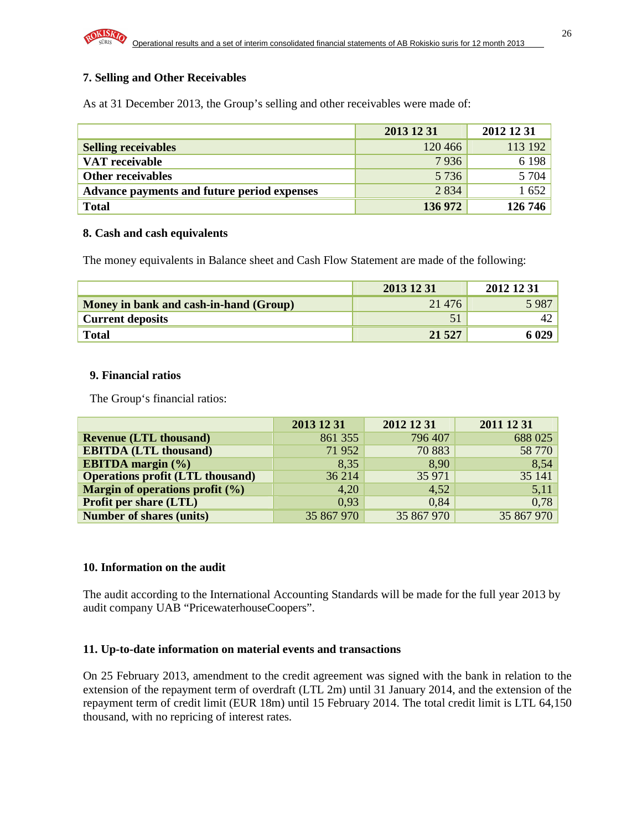### **7. Selling and Other Receivables**

As at 31 December 2013, the Group's selling and other receivables were made of:

|                                             | 2013 12 31 | 2012 12 31 |
|---------------------------------------------|------------|------------|
| <b>Selling receivables</b>                  | 120 466    | 113 192    |
| VAT receivable                              | 7936       | 6 1 9 8    |
| Other receivables                           | 5 7 3 6    | 5 704      |
| Advance payments and future period expenses | 2 8 3 4    | 1652       |
| <b>Total</b>                                | 136 972    | 126 746    |

#### **8. Cash and cash equivalents**

The money equivalents in Balance sheet and Cash Flow Statement are made of the following:

|                                        | 2013 12 31 | 2012 12 31 |
|----------------------------------------|------------|------------|
| Money in bank and cash-in-hand (Group) | 21 4 7 6   | 5 9 8 7    |
| <b>Current deposits</b>                |            |            |
| <b>Total</b>                           | 21 5 27    | 6 029      |

#### **9. Financial ratios**

The Group's financial ratios:

|                                         | 2013 12 31 | 2012 12 31 | 2011 12 31 |
|-----------------------------------------|------------|------------|------------|
| <b>Revenue (LTL thousand)</b>           | 861 355    | 796 407    | 688 025    |
| <b>EBITDA (LTL thousand)</b>            | 71 952     | 70 883     | 58 770     |
| <b>EBITDA</b> margin $(\% )$            | 8.35       | 8,90       | 8,54       |
| <b>Operations profit (LTL thousand)</b> | 36 214     | 35 971     | 35 141     |
| Margin of operations profit $(\% )$     | 4,20       | 4,52       | 5,11       |
| <b>Profit per share (LTL)</b>           | 0,93       | 0,84       | 0,78       |
| <b>Number of shares (units)</b>         | 35 867 970 | 35 867 970 | 35 867 970 |

#### **10. Information on the audit**

The audit according to the International Accounting Standards will be made for the full year 2013 by audit company UAB "PricewaterhouseCoopers".

#### **11. Up-to-date information on material events and transactions**

On 25 February 2013, amendment to the credit agreement was signed with the bank in relation to the extension of the repayment term of overdraft (LTL 2m) until 31 January 2014, and the extension of the repayment term of credit limit (EUR 18m) until 15 February 2014. The total credit limit is LTL 64,150 thousand, with no repricing of interest rates.